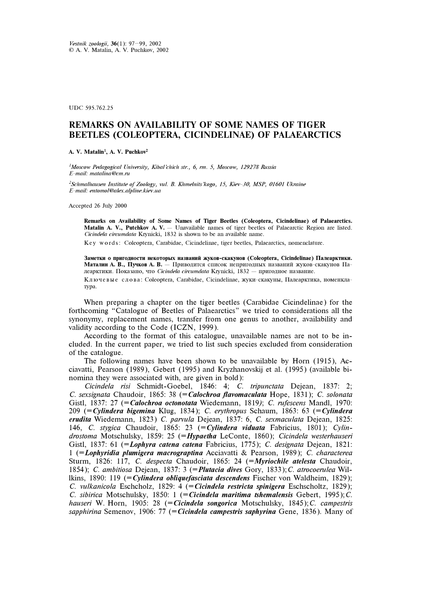UDC 595.762.25

## REMARKS ON AVAILABILITY OF SOME NAMES OF TIGER BEETLES (COLEOPTERA, CICINDELINAE) OF PALAEARCTICS

A. V. Matalin<sup>1</sup>, A. V. Puchkov<sup>2</sup>

<sup>1</sup>Moscow Pedagogical University, Kibal'chich str., 6, rm. 5, Moscow, 129278 Russia E-mail: matalina@cm.ru

<sup>2</sup>Schmalhausen Institute of Zoology, vul. B. Khmelnits'kogo, 15, Kiev-30, MSP, 01601 Ukraine E-mail: entomol@alex.alpline.kiev.ua

Accepted 26 July 2000

Remarks on Availability of Some Names of Tiger Beetles (Coleoptera, Cicindelinae) of Palaearctics. **Matalin A. V., Putchkov A. V.**  $-$  Unavailable names of tiger beetles of Palaearctic Region are listed. Cicindela circumdata Krynicki, 1832 is shown to be an available name.

Key words: Coleoptera, Carabidae, Cicindelinae, tiger beetles, Palaearctics, nomenclature.

Заметки о пригодности некоторых названий жуков-скакунов (Coleoptera, Cicindelinae) Палеарктики. Маталин А. В., Пучков А. В. – Приводится список непригодных названий жуков-скакунов Палеарктики. Показано, что Cicindela circumdata Krynicki, 1832 — пригодное название. Ключевые слова: Coleoptera, Carabidae, Cicindelinae, жуки-скакуны, Палеарктика, номенкла-Typa.

When preparing a chapter on the tiger beetles (Carabidae Cicindelinae) for the forthcoming "Catalogue of Beetles of Palaearctics" we tried to considerations all the synonymy, replacement names, transfer from one genus to another, availability and validity according to the Code (ICZN, 1999).

According to the format of this catalogue, unavailable names are not to be included. In the current paper, we tried to list such species excluded from consideration of the catalogue.

The following names have been shown to be unavailable by Horn (1915), Acciavatti, Pearson (1989), Gebert (1995) and Kryzhanovskij et al. (1995) (available binomina they were associated with, are given in bold):

Cicindela risi Schmidt-Goebel, 1846: 4; C. tripunctata Dejean, 1837: 2; C. sexsignata Chaudoir, 1865: 38 (= Calochroa flavomaculata Hope, 1831); C. solonata Gistl, 1837: 27 (= Calochroa octonotata Wiedemann, 1819); C. rufescens Mandl, 1970: 209 (= Cylindera bigemina Klug, 1834); C. erythropus Schaum, 1863: 63 (= Cylindera erudita Wiedemann, 1823) C. parvula Dejean, 1837: 6, C. sexmaculata Dejean, 1825: 146, C. stygica Chaudoir, 1865: 23 (= Cylindera viduata Fabricius, 1801); Cylindrostoma Motschulsky, 1859: 25 (= Hypaetha LeConte, 1860); Cicindela westerhauseri Gistl, 1837: 61 (=Lophyra catena catena Fabricius, 1775); C. designata Dejean, 1821: 1 ( $=$ Lophyridia plumigera macrograptina Acciavatti & Pearson, 1989); C. characterea Sturm, 1826: 117, C. despecta Chaudoir, 1865: 24 (=Myriochile atelesta Chaudoir, 1854); C. ambitiosa Dejean, 1837: 3 (= Plutacia dives Gory, 1833); C. atrocoerulea Willkins, 1890: 119 (=Cylindera obliquefasciata descendens Fischer von Waldheim, 1829); C. vulkanicola Eschcholz, 1829: 4 (= Cicindela restricta spinigera Eschscholtz, 1829); C. sibirica Motschulsky, 1850: 1 (= Cicindela maritima tshemalensis Gebert, 1995); C. hauseri W. Horn, 1905: 28 (= Cicindela songorica Motschulsky, 1845); C. campestris sapphirina Semenov, 1906: 77 (= Cicindela campestris saphyrina Gene, 1836). Many of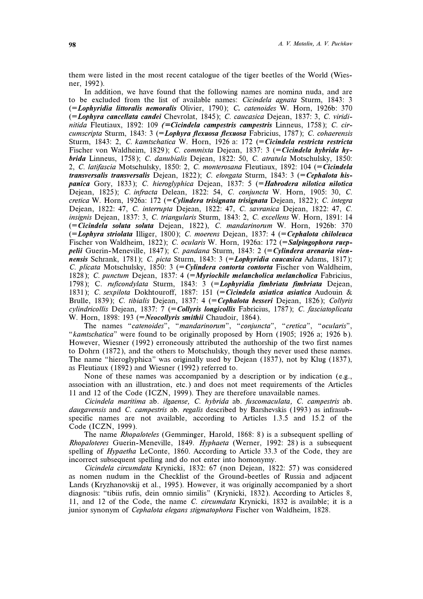them were listed in the most recent catalogue of the tiger beetles of the World (Wiesner, 1992).

In addition, we have found that the following names are nomina nuda, and are to be excluded from the list of available names: Cicindela agnata Sturm, 1843: 3 (=Lophyridia littoralis nemoralis Olivier, 1790); C. catenoides W. Horn, 1926b: 370 (=Lophyra cancellata candei Chevrolat, 1845); C. caucasica Dejean, 1837: 3, C. viridinitida Fleutiaux, 1892: 109 (= Cicindela campestris campestris Linneus, 1758); C. circumscripta Sturm, 1843: 3 (=Lophyra flexuosa flexuosa Fabricius, 1787); C. cohaerensis Sturm, 1843: 2, C. kamtschatica W. Horn, 1926 a: 172 (= Cicindela restricta restricta Fischer von Waldheim, 1829); C. commixta Dejean, 1837: 3 (= Cicindela hybrida hybrida Linneus, 1758); C. danubialis Dejean, 1822: 50, C. atratula Motschulsky, 1850: 2, C. latifascia Motschulsky, 1850: 2, C. monterosana Fleutiaux, 1892: 104 (= Cicindela transversalis transversalis Dejean, 1822); C. elongata Sturm, 1843: 3 (= Cephalota hispanica Gory, 1833); C. hieroglyphica Dejean, 1837: 5 (= Habrodera nilotica nilotica Dejean, 1825); C. infracta Delean, 1822: 54, C. conjuncta W. Horn, 1905: 30, C. cretica W. Horn, 1926a: 172 (= Cylindera trisignata trisignata Dejean, 1822); C. integra Dejean, 1822: 47, C. interrupta Dejean, 1822: 47, C. savranica Dejean, 1822: 47, C. insignis Dejean, 1837: 3, C. triangularis Sturm, 1843: 2, C. excellens W. Horn, 1891: 14 (=Cicindela soluta soluta Dejean, 1822), C. mandarinorum W. Horn, 1926b: 370  $(=Lophyra striolata Illiger, 1800); C. moerens Dejean, 1837: 4 (*=Cephalota chiloleuca*$ Fischer von Waldheim, 1822); C. ocularis W. Horn, 1926a: 172 (= Salpingophora rueppelii Guerin-Meneville, 1847); C. pandana Sturm, 1843:  $2$  (=Cylindera arenaria viennensis Schrank, 1781); C. picta Sturm, 1843: 3 (=Lophyridia caucasica Adams, 1817); C. plicata Motschulsky, 1850: 3 (= Cylindera contorta contorta Fischer von Waldheim, 1828); C. punctum Dejean, 1837: 4 (=Myriochile melancholica melancholica Fabricius, 1798); C. ruficondylata Sturm, 1843: 3 (=Lophyridia fimbriata fimbriata Dejean, 1831); C. sexpilota Dokhtouroff, 1887: 151 (= Cicindela asiatica asiatica Audouin & Brulle, 1839); C. tibialis Dejean, 1837: 4 (= Cephalota besseri Dejean, 1826); Collyris  $cylindricollis$  Dejean, 1837: 7 (= Collyris longicollis Fabricius, 1787); C. fasciatoplicata W. Horn, 1898: 193 (=Neocollyris smithii Chaudoir, 1864).

The names "catenoides", "mandarinorum", "conjuncta", "cretica", "ocularis", "kamtschatica" were found to be originally proposed by Horn (1905; 1926 a; 1926 b). However, Wiesner (1992) erroneously attributed the authorship of the two first names to Dohrn (1872), and the others to Motschulsky, though they never used these names. The name "hieroglyphica" was originally used by Dejean (1837), not by Klug (1837), as Fleutiaux (1892) and Wiesner (1992) referred to.

None of these names was accompanied by a description or by indication (e.g., association with an illustration, etc.) and does not meet requirements of the Articles 11 and 12 of the Code (ICZN, 1999). They are therefore unavailable names.

Cicindela maritima ab. ilgaense, C. hybrida ab. fuscomaculata, C. campestris ab. daugavensis and C. campestris ab. regalis described by Barshevskis (1993) as infrasubspecific names are not available, according to Articles 1.3.5 and 15.2 of the Code (ICZN, 1999).

The name *Rhopaloteles* (Gemminger, Harold, 1868: 8) is a subsequent spelling of Rhopaloteres Guerin-Meneville, 1849. Hyphaeta (Werner, 1992: 28) is a subsequent spelling of *Hypaetha* LeConte, 1860. According to Article 33.3 of the Code, they are incorrect subsequent spelling and do not enter into homonymy.

Cicindela circumdata Krynicki, 1832: 67 (non Dejean, 1822: 57) was considered as nomen nudum in the Checklist of the Ground-beetles of Russia and adjacent Lands (Kryzhanovskij et al., 1995). However, it was originally accompanied by a short diagnosis: "tibiis rufis, dein omnio similis" (Krynicki, 1832). According to Articles 8, 11, and 12 of the Code, the name C. circumdata Krynicki, 1832 is available; it is a junior synonym of Cephalota elegans stigmatophora Fischer von Waldheim, 1828.